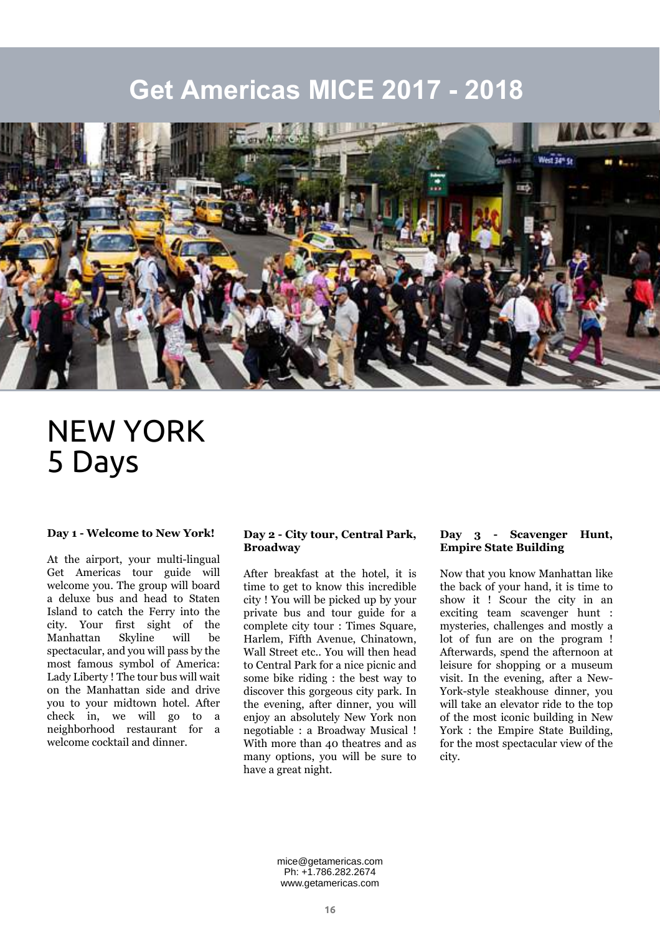### **Get Americas MICE 2017 - 2018**



# NEW YORK 5 Days

### **Day 1 - Welcome to New York!**

At the airport, your multi-lingual Get Americas tour guide will welcome you. The group will board a deluxe bus and head to Staten Island to catch the Ferry into the city. Your first sight of the Manhattan Skyline will be spectacular, and you will pass by the most famous symbol of America: Lady Liberty ! The tour bus will wait on the Manhattan side and drive you to your midtown hotel. After check in, we will go to a neighborhood restaurant for a welcome cocktail and dinner.

#### **Day 2 - City tour, Central Park, Broadway**

After breakfast at the hotel, it is time to get to know this incredible city ! You will be picked up by your private bus and tour guide for a complete city tour : Times Square, Harlem, Fifth Avenue, Chinatown, Wall Street etc.. You will then head to Central Park for a nice picnic and some bike riding : the best way to discover this gorgeous city park. In the evening, after dinner, you will enjoy an absolutely New York non negotiable : a Broadway Musical ! With more than 40 theatres and as many options, you will be sure to have a great night.

#### **Day 3 - Scavenger Hunt, Empire State Building**

Now that you know Manhattan like the back of your hand, it is time to show it ! Scour the city in an exciting team scavenger hunt : mysteries, challenges and mostly a lot of fun are on the program ! Afterwards, spend the afternoon at leisure for shopping or a museum visit. In the evening, after a New-York-style steakhouse dinner, you will take an elevator ride to the top of the most iconic building in New York : the Empire State Building, for the most spectacular view of the city.

mice@getamericas.com Ph: +1.786.282.2674 www.getamericas.com